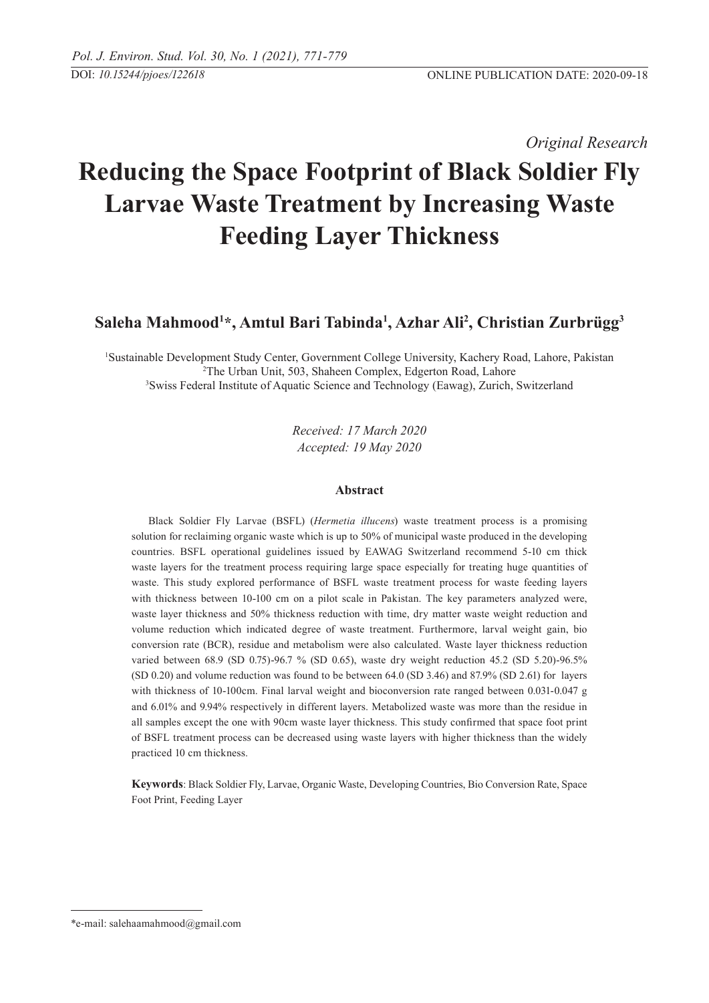*Original Research* 

# **Reducing the Space Footprint of Black Soldier Fly Larvae Waste Treatment by Increasing Waste Feeding Layer Thickness**

## **Saleha Mahmood1 \*, Amtul Bari Tabinda1 , Azhar Ali2 , Christian Zurbrügg3**

1 Sustainable Development Study Center, Government College University, Kachery Road, Lahore, Pakistan <sup>2</sup>The Urban Unit, 503, Shaheen Complex, Edgerton Road, Lahore<br><sup>3</sup>Swiss Eederal Institute of Aquatic Science and Technology (Eawag), Zurich <sup>3</sup>Swiss Federal Institute of Aquatic Science and Technology (Eawag), Zurich, Switzerland

> *Received: 17 March 2020 Accepted: 19 May 2020*

## **Abstract**

Black Soldier Fly Larvae (BSFL) (*Hermetia illucens*) waste treatment process is a promising solution for reclaiming organic waste which is up to 50% of municipal waste produced in the developing countries. BSFL operational guidelines issued by EAWAG Switzerland recommend 5-10 cm thick waste layers for the treatment process requiring large space especially for treating huge quantities of waste. This study explored performance of BSFL waste treatment process for waste feeding layers with thickness between 10-100 cm on a pilot scale in Pakistan. The key parameters analyzed were, waste layer thickness and 50% thickness reduction with time, dry matter waste weight reduction and volume reduction which indicated degree of waste treatment. Furthermore, larval weight gain, bio conversion rate (BCR), residue and metabolism were also calculated. Waste layer thickness reduction varied between 68.9 (SD 0.75)-96.7 % (SD 0.65), waste dry weight reduction 45.2 (SD 5.20)-96.5% (SD 0.20) and volume reduction was found to be between 64.0 (SD 3.46) and 87.9% (SD 2.61) for layers with thickness of 10-100cm. Final larval weight and bioconversion rate ranged between 0.031-0.047 g and 6.01% and 9.94% respectively in different layers. Metabolized waste was more than the residue in all samples except the one with 90cm waste layer thickness. This study confirmed that space foot print of BSFL treatment process can be decreased using waste layers with higher thickness than the widely practiced 10 cm thickness.

**Keywords**: Black Soldier Fly, Larvae, Organic Waste, Developing Countries, Bio Conversion Rate, Space Foot Print, Feeding Layer

<sup>\*</sup>e-mail: salehaamahmood@gmail.com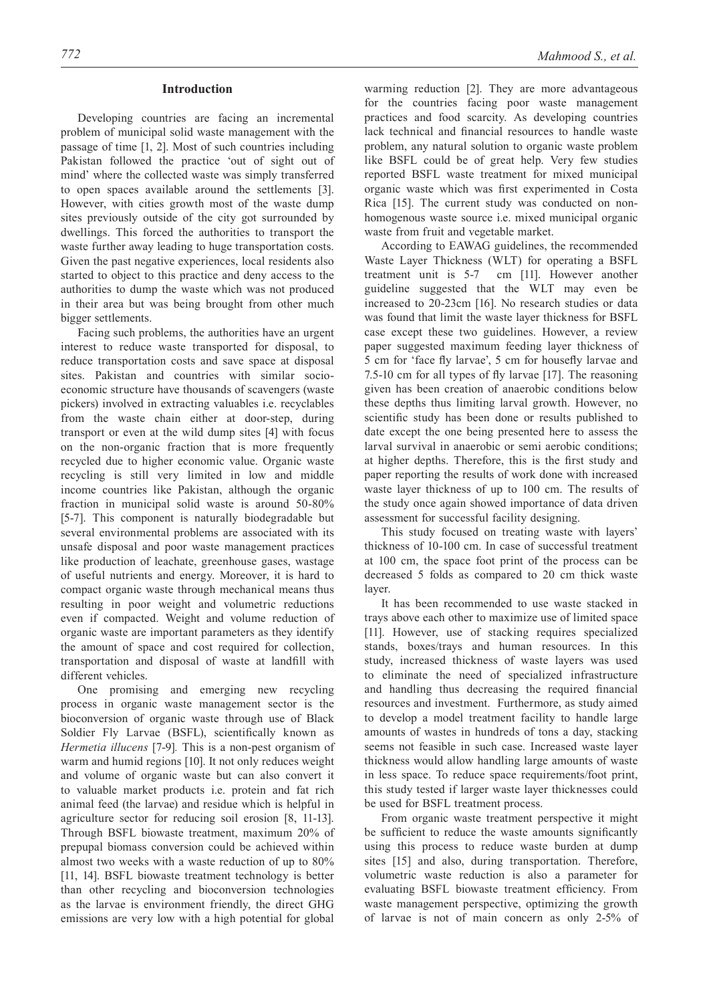## **Introduction**

Developing countries are facing an incremental problem of municipal solid waste management with the passage of time [1, 2]. Most of such countries including Pakistan followed the practice 'out of sight out of mind' where the collected waste was simply transferred to open spaces available around the settlements [3]. However, with cities growth most of the waste dump sites previously outside of the city got surrounded by dwellings. This forced the authorities to transport the waste further away leading to huge transportation costs. Given the past negative experiences, local residents also started to object to this practice and deny access to the authorities to dump the waste which was not produced in their area but was being brought from other much bigger settlements.

Facing such problems, the authorities have an urgent interest to reduce waste transported for disposal, to reduce transportation costs and save space at disposal sites. Pakistan and countries with similar socioeconomic structure have thousands of scavengers (waste pickers) involved in extracting valuables i.e. recyclables from the waste chain either at door-step, during transport or even at the wild dump sites [4] with focus on the non-organic fraction that is more frequently recycled due to higher economic value. Organic waste recycling is still very limited in low and middle income countries like Pakistan, although the organic fraction in municipal solid waste is around 50-80% [5-7]. This component is naturally biodegradable but several environmental problems are associated with its unsafe disposal and poor waste management practices like production of leachate, greenhouse gases, wastage of useful nutrients and energy. Moreover, it is hard to compact organic waste through mechanical means thus resulting in poor weight and volumetric reductions even if compacted. Weight and volume reduction of organic waste are important parameters as they identify the amount of space and cost required for collection, transportation and disposal of waste at landfill with different vehicles.

One promising and emerging new recycling process in organic waste management sector is the bioconversion of organic waste through use of Black Soldier Fly Larvae (BSFL), scientifically known as *Hermetia illucens* [7-9]*.* This is a non-pest organism of warm and humid regions [10]. It not only reduces weight and volume of organic waste but can also convert it to valuable market products i.e. protein and fat rich animal feed (the larvae) and residue which is helpful in agriculture sector for reducing soil erosion [8, 11-13]. Through BSFL biowaste treatment, maximum 20% of prepupal biomass conversion could be achieved within almost two weeks with a waste reduction of up to 80% [11, 14]. BSFL biowaste treatment technology is better than other recycling and bioconversion technologies as the larvae is environment friendly, the direct GHG emissions are very low with a high potential for global

warming reduction [2]. They are more advantageous for the countries facing poor waste management practices and food scarcity. As developing countries lack technical and financial resources to handle waste problem, any natural solution to organic waste problem like BSFL could be of great help. Very few studies reported BSFL waste treatment for mixed municipal organic waste which was first experimented in Costa Rica [15]. The current study was conducted on nonhomogenous waste source i.e. mixed municipal organic waste from fruit and vegetable market.

According to EAWAG guidelines, the recommended Waste Layer Thickness (WLT) for operating a BSFL treatment unit is 5-7 cm [11]. However another guideline suggested that the WLT may even be increased to 20-23cm [16]. No research studies or data was found that limit the waste layer thickness for BSFL case except these two guidelines. However, a review paper suggested maximum feeding layer thickness of 5 cm for 'face fly larvae', 5 cm for housefly larvae and 7.5-10 cm for all types of fly larvae [17]. The reasoning given has been creation of anaerobic conditions below these depths thus limiting larval growth. However, no scientific study has been done or results published to date except the one being presented here to assess the larval survival in anaerobic or semi aerobic conditions; at higher depths. Therefore, this is the first study and paper reporting the results of work done with increased waste layer thickness of up to 100 cm. The results of the study once again showed importance of data driven assessment for successful facility designing.

This study focused on treating waste with layers' thickness of 10-100 cm. In case of successful treatment at 100 cm, the space foot print of the process can be decreased 5 folds as compared to 20 cm thick waste layer.

It has been recommended to use waste stacked in trays above each other to maximize use of limited space [11]. However, use of stacking requires specialized stands, boxes/trays and human resources. In this study, increased thickness of waste layers was used to eliminate the need of specialized infrastructure and handling thus decreasing the required financial resources and investment. Furthermore, as study aimed to develop a model treatment facility to handle large amounts of wastes in hundreds of tons a day, stacking seems not feasible in such case. Increased waste layer thickness would allow handling large amounts of waste in less space. To reduce space requirements/foot print, this study tested if larger waste layer thicknesses could be used for BSFL treatment process.

From organic waste treatment perspective it might be sufficient to reduce the waste amounts significantly using this process to reduce waste burden at dump sites [15] and also, during transportation. Therefore, volumetric waste reduction is also a parameter for evaluating BSFL biowaste treatment efficiency. From waste management perspective, optimizing the growth of larvae is not of main concern as only 2-5% of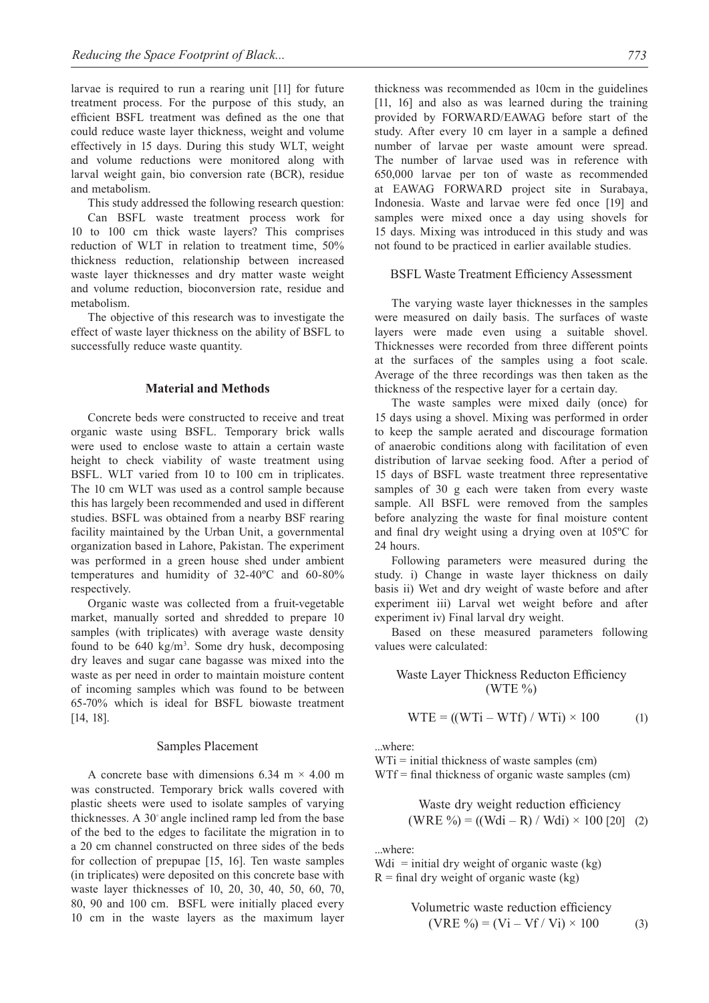larvae is required to run a rearing unit [11] for future treatment process. For the purpose of this study, an efficient BSFL treatment was defined as the one that could reduce waste layer thickness, weight and volume effectively in 15 days. During this study WLT, weight and volume reductions were monitored along with larval weight gain, bio conversion rate (BCR), residue and metabolism.

This study addressed the following research question: Can BSFL waste treatment process work for 10 to 100 cm thick waste layers? This comprises reduction of WLT in relation to treatment time, 50% thickness reduction, relationship between increased waste layer thicknesses and dry matter waste weight and volume reduction, bioconversion rate, residue and metabolism.

The objective of this research was to investigate the effect of waste layer thickness on the ability of BSFL to successfully reduce waste quantity.

## **Material and Methods**

Concrete beds were constructed to receive and treat organic waste using BSFL. Temporary brick walls were used to enclose waste to attain a certain waste height to check viability of waste treatment using BSFL. WLT varied from 10 to 100 cm in triplicates. The 10 cm WLT was used as a control sample because this has largely been recommended and used in different studies. BSFL was obtained from a nearby BSF rearing facility maintained by the Urban Unit, a governmental organization based in Lahore, Pakistan. The experiment was performed in a green house shed under ambient temperatures and humidity of 32-40ºC and 60-80% respectively.

Organic waste was collected from a fruit-vegetable market, manually sorted and shredded to prepare 10 samples (with triplicates) with average waste density found to be  $640 \text{ kg/m}^3$ . Some dry husk, decomposing dry leaves and sugar cane bagasse was mixed into the waste as per need in order to maintain moisture content of incoming samples which was found to be between 65-70% which is ideal for BSFL biowaste treatment [14, 18].

#### Samples Placement

A concrete base with dimensions 6.34 m  $\times$  4.00 m was constructed. Temporary brick walls covered with plastic sheets were used to isolate samples of varying thicknesses. A 30◦ angle inclined ramp led from the base of the bed to the edges to facilitate the migration in to a 20 cm channel constructed on three sides of the beds for collection of prepupae [15, 16]. Ten waste samples (in triplicates) were deposited on this concrete base with waste layer thicknesses of 10, 20, 30, 40, 50, 60, 70, 80, 90 and 100 cm. BSFL were initially placed every 10 cm in the waste layers as the maximum layer thickness was recommended as 10cm in the guidelines [11, 16] and also as was learned during the training provided by FORWARD/EAWAG before start of the study. After every 10 cm layer in a sample a defined number of larvae per waste amount were spread. The number of larvae used was in reference with 650,000 larvae per ton of waste as recommended at EAWAG FORWARD project site in Surabaya, Indonesia. Waste and larvae were fed once [19] and samples were mixed once a day using shovels for 15 days. Mixing was introduced in this study and was not found to be practiced in earlier available studies.

#### BSFL Waste Treatment Efficiency Assessment

The varying waste layer thicknesses in the samples were measured on daily basis. The surfaces of waste layers were made even using a suitable shovel. Thicknesses were recorded from three different points at the surfaces of the samples using a foot scale. Average of the three recordings was then taken as the thickness of the respective layer for a certain day.

The waste samples were mixed daily (once) for 15 days using a shovel. Mixing was performed in order to keep the sample aerated and discourage formation of anaerobic conditions along with facilitation of even distribution of larvae seeking food. After a period of 15 days of BSFL waste treatment three representative samples of 30 g each were taken from every waste sample. All BSFL were removed from the samples before analyzing the waste for final moisture content and final dry weight using a drying oven at 105ºC for 24 hours.

Following parameters were measured during the study. i) Change in waste layer thickness on daily basis ii) Wet and dry weight of waste before and after experiment iii) Larval wet weight before and after experiment iv) Final larval dry weight.

Based on these measured parameters following values were calculated:

## Waste Layer Thickness Reducton Efficiency  $(WTE\%)$

$$
WTE = ((WTi - WTf) / WTi) \times 100
$$
 (1)

...where:

 $WTi = initial thickness of waste samples (cm)$ WTf = final thickness of organic waste samples (cm)

Waste dry weight reduction efficiency (WRE %) = ((Wdi – R) / Wdi) × 100 [20] (2)

...where:

Wdi = initial dry weight of organic waste  $(kg)$  $R =$  final dry weight of organic waste (kg)

Volumeetric waste reduction efficiency

\n
$$
(VRE \, \%) = (Vi - Vf / Vi) \times 100
$$
\n(3)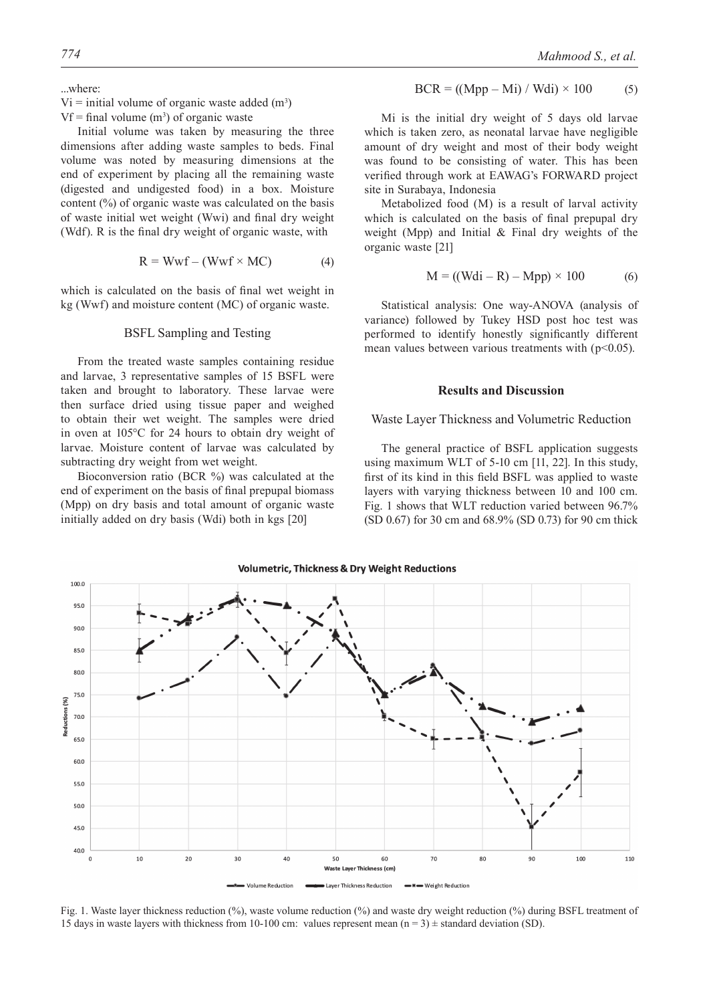$Vi =$  initial volume of organic waste added  $(m<sup>3</sup>)$ 

 $Vf = \text{final}$  volume  $(m^3)$  of organic waste

Initial volume was taken by measuring the three dimensions after adding waste samples to beds. Final volume was noted by measuring dimensions at the end of experiment by placing all the remaining waste (digested and undigested food) in a box. Moisture content (%) of organic waste was calculated on the basis of waste initial wet weight (Wwi) and final dry weight (Wdf). R is the final dry weight of organic waste, with

$$
R = Wwf - (Wwf \times MC)
$$
 (4)

which is calculated on the basis of final wet weight in kg (Wwf) and moisture content (MC) of organic waste.

## BSFL Sampling and Testing

From the treated waste samples containing residue and larvae, 3 representative samples of 15 BSFL were taken and brought to laboratory. These larvae were then surface dried using tissue paper and weighed to obtain their wet weight. The samples were dried in oven at 105°C for 24 hours to obtain dry weight of larvae. Moisture content of larvae was calculated by subtracting dry weight from wet weight.

Bioconversion ratio (BCR %) was calculated at the end of experiment on the basis of final prepupal biomass (Mpp) on dry basis and total amount of organic waste initially added on dry basis (Wdi) both in kgs [20]

$$
BCR = ((Mpp - Mi) / Wdi) \times 100
$$
 (5)

Mi is the initial dry weight of 5 days old larvae which is taken zero, as neonatal larvae have negligible amount of dry weight and most of their body weight was found to be consisting of water. This has been verified through work at EAWAG's FORWARD project site in Surabaya, Indonesia

Metabolized food (M) is a result of larval activity which is calculated on the basis of final prepupal dry weight (Mpp) and Initial & Final dry weights of the organic waste [21]

$$
M = ((Wdi - R) - Mpp) \times 100
$$
 (6)

Statistical analysis: One way-ANOVA (analysis of variance) followed by Tukey HSD post hoc test was performed to identify honestly significantly different mean values between various treatments with  $(p<0.05)$ .

#### **Results and Discussion**

#### Waste Layer Thickness and Volumetric Reduction

The general practice of BSFL application suggests using maximum WLT of 5-10 cm [11, 22]. In this study, first of its kind in this field BSFL was applied to waste layers with varying thickness between 10 and 100 cm. Fig. 1 shows that WLT reduction varied between 96.7% (SD 0.67) for 30 cm and 68.9% (SD 0.73) for 90 cm thick

 $100.0$ 95.0 90.0 85.0 80.0  $75.0$ Reductions (%) 70.0 65.0 60.0 55.0 50.0 45.0 40.0  $\mathbf{c}$  $10$  $20$  $\overline{\mathbf{3}}$ 60  $7<sup>c</sup>$ 80 90 100  $11C$ Waste I r Thickness (cm) Layer Thickness Reduction olume Reduction Weight Reduction

**Volumetric. Thickness & Drv Weight Reductions** 

Fig. 1. Waste layer thickness reduction (%), waste volume reduction (%) and waste dry weight reduction (%) during BSFL treatment of 15 days in waste layers with thickness from 10-100 cm: values represent mean  $(n = 3) \pm$  standard deviation (SD).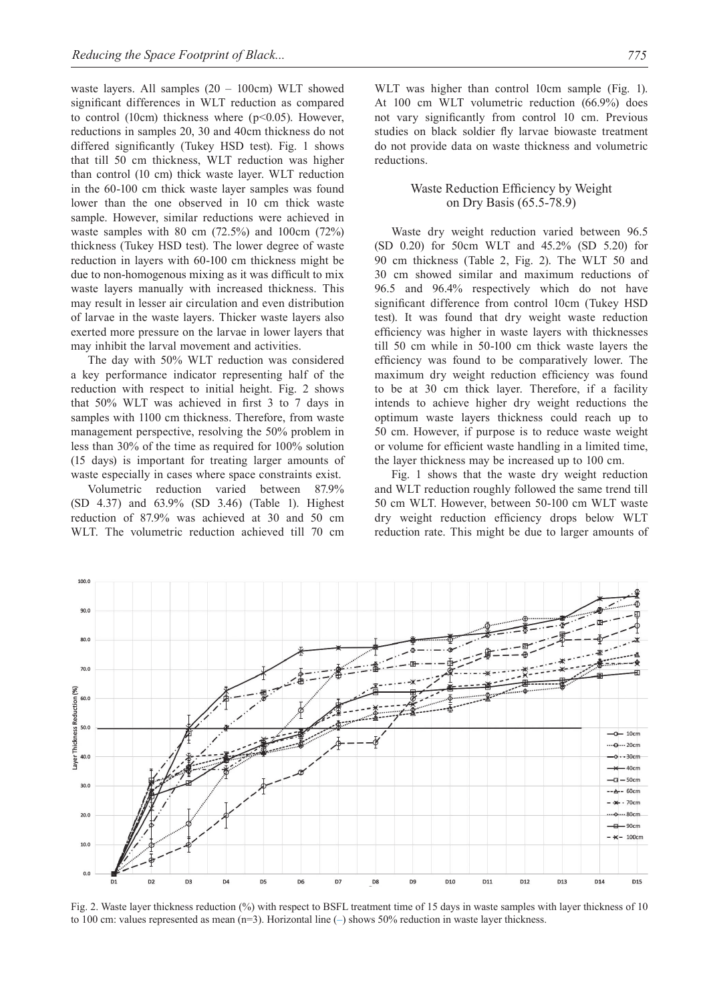waste layers. All samples (20 – 100cm) WLT showed significant differences in WLT reduction as compared to control (10cm) thickness where  $(p<0.05)$ . However, reductions in samples 20, 30 and 40cm thickness do not differed significantly (Tukey HSD test). Fig. 1 shows that till 50 cm thickness, WLT reduction was higher than control (10 cm) thick waste layer. WLT reduction in the 60-100 cm thick waste layer samples was found lower than the one observed in 10 cm thick waste sample. However, similar reductions were achieved in waste samples with 80 cm (72.5%) and 100cm (72%) thickness (Tukey HSD test). The lower degree of waste reduction in layers with 60-100 cm thickness might be due to non-homogenous mixing as it was difficult to mix waste layers manually with increased thickness. This may result in lesser air circulation and even distribution of larvae in the waste layers. Thicker waste layers also exerted more pressure on the larvae in lower layers that may inhibit the larval movement and activities.

The day with 50% WLT reduction was considered a key performance indicator representing half of the reduction with respect to initial height. Fig. 2 shows that 50% WLT was achieved in first 3 to 7 days in samples with 1100 cm thickness. Therefore, from waste management perspective, resolving the 50% problem in less than 30% of the time as required for 100% solution (15 days) is important for treating larger amounts of waste especially in cases where space constraints exist.

Volumetric reduction varied between 87.9% (SD 4.37) and 63.9% (SD 3.46) (Table 1). Highest reduction of 87.9% was achieved at 30 and 50 cm WLT. The volumetric reduction achieved till 70 cm

WLT was higher than control 10cm sample (Fig. 1). At 100 cm WLT volumetric reduction (66.9%) does not vary significantly from control 10 cm. Previous studies on black soldier fly larvae biowaste treatment do not provide data on waste thickness and volumetric reductions.

## Waste Reduction Efficiency by Weight on Dry Basis (65.5-78.9)

Waste dry weight reduction varied between 96.5 (SD 0.20) for 50cm WLT and 45.2% (SD 5.20) for 90 cm thickness (Table 2, Fig. 2). The WLT 50 and 30 cm showed similar and maximum reductions of 96.5 and 96.4% respectively which do not have significant difference from control 10cm (Tukey HSD test). It was found that dry weight waste reduction efficiency was higher in waste layers with thicknesses till 50 cm while in 50-100 cm thick waste layers the efficiency was found to be comparatively lower. The maximum dry weight reduction efficiency was found to be at 30 cm thick layer. Therefore, if a facility intends to achieve higher dry weight reductions the optimum waste layers thickness could reach up to 50 cm. However, if purpose is to reduce waste weight or volume for efficient waste handling in a limited time, the layer thickness may be increased up to 100 cm.

Fig. 1 shows that the waste dry weight reduction and WLT reduction roughly followed the same trend till 50 cm WLT. However, between 50-100 cm WLT waste dry weight reduction efficiency drops below WLT reduction rate. This might be due to larger amounts of



Fig. 2. Waste layer thickness reduction (%) with respect to BSFL treatment time of 15 days in waste samples with layer thickness of 10 to 100 cm: values represented as mean (n=3). Horizontal line (**–**) shows 50% reduction in waste layer thickness.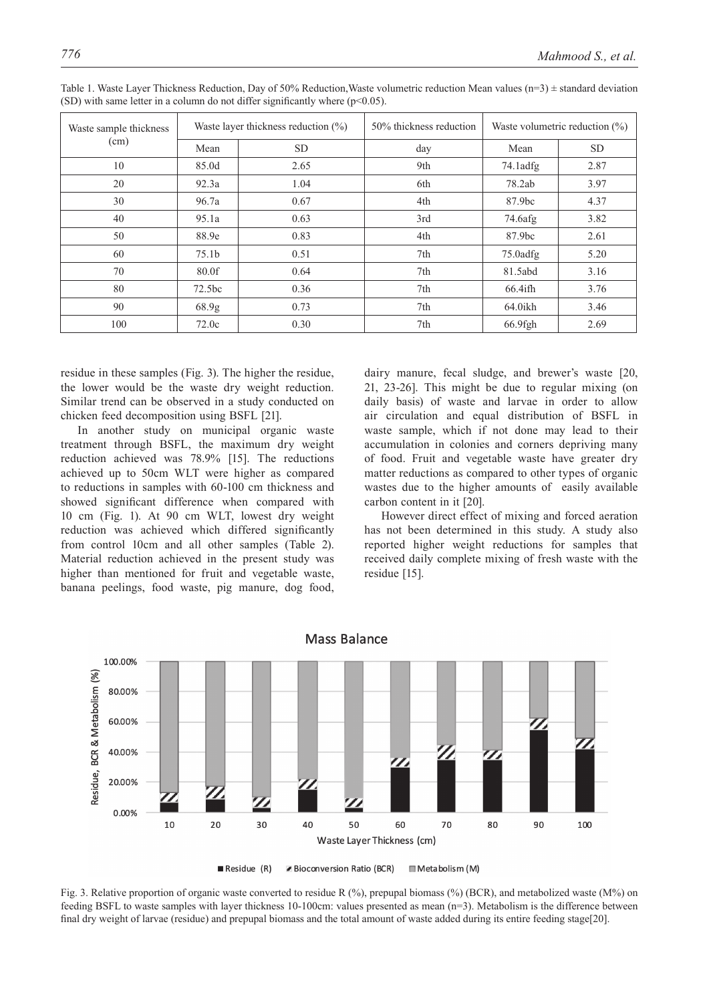| Waste sample thickness<br>(cm) |                    | Waste layer thickness reduction $(\% )$ | 50% thickness reduction | Waste volumetric reduction $(\%)$ |           |  |
|--------------------------------|--------------------|-----------------------------------------|-------------------------|-----------------------------------|-----------|--|
|                                | Mean               | <b>SD</b>                               | day                     | Mean                              | <b>SD</b> |  |
| 10                             | 85.0d              | 2.65                                    | 9th                     | $74.1$ adfg                       | 2.87      |  |
| 20                             | 92.3a              | 1.04                                    | 6th                     | 78.2ab                            | 3.97      |  |
| 30                             | 96.7a              | 0.67                                    | 4th                     | 87.9bc                            | 4.37      |  |
| 40                             | 95.1a              | 0.63                                    | 3rd                     | 74.6afg                           | 3.82      |  |
| 50                             | 88.9e              | 0.83                                    | 4th                     | 87.9bc                            | 2.61      |  |
| 60                             | 75.1 <sub>b</sub>  | 0.51                                    | 7th                     | $75.0$ adfg                       | 5.20      |  |
| 70                             | 80.0f              | 0.64                                    | 7th                     | 81.5abd                           | 3.16      |  |
| 80                             | 72.5 <sub>bc</sub> | 0.36                                    | 7th                     | $66.4$ ifh                        | 3.76      |  |
| 90                             | 68.9 <sub>g</sub>  | 0.73                                    | 7th                     | $64.0$ ikh                        | 3.46      |  |
| 100                            | 72.0c              | 0.30                                    | 7th                     | 66.9fgh                           | 2.69      |  |

Table 1. Waste Layer Thickness Reduction, Day of 50% Reduction, Waste volumetric reduction Mean values ( $n=3$ )  $\pm$  standard deviation (SD) with same letter in a column do not differ significantly where  $(p<0.05)$ .

residue in these samples (Fig. 3). The higher the residue, the lower would be the waste dry weight reduction. Similar trend can be observed in a study conducted on chicken feed decomposition using BSFL [21].

In another study on municipal organic waste treatment through BSFL, the maximum dry weight reduction achieved was 78.9% [15]. The reductions achieved up to 50cm WLT were higher as compared to reductions in samples with 60-100 cm thickness and showed significant difference when compared with 10 cm (Fig. 1). At 90 cm WLT, lowest dry weight reduction was achieved which differed significantly from control 10cm and all other samples (Table 2). Material reduction achieved in the present study was higher than mentioned for fruit and vegetable waste, banana peelings, food waste, pig manure, dog food,

dairy manure, fecal sludge, and brewer's waste [20, 21, 23-26]. This might be due to regular mixing (on daily basis) of waste and larvae in order to allow air circulation and equal distribution of BSFL in waste sample, which if not done may lead to their accumulation in colonies and corners depriving many of food. Fruit and vegetable waste have greater dry matter reductions as compared to other types of organic wastes due to the higher amounts of easily available carbon content in it [20].

However direct effect of mixing and forced aeration has not been determined in this study. A study also reported higher weight reductions for samples that received daily complete mixing of fresh waste with the residue [15].



Mass Balance

 $\blacksquare$  Residue  $(R)$ Bioconversion Ratio (BCR) Metabolism (M)

Fig. 3. Relative proportion of organic waste converted to residue R (%), prepupal biomass (%) (BCR), and metabolized waste (M%) on feeding BSFL to waste samples with layer thickness 10-100cm: values presented as mean (n=3). Metabolism is the difference between final dry weight of larvae (residue) and prepupal biomass and the total amount of waste added during its entire feeding stage[20].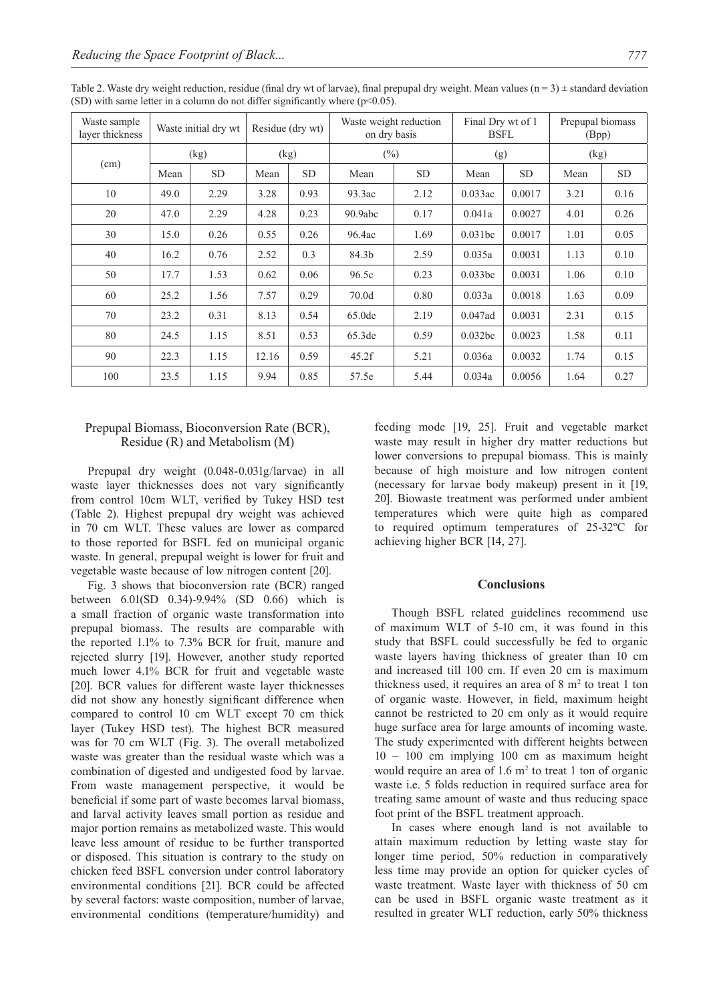| Waste sample<br>layer thickness | Waste initial dry wt |           | Residue (dry wt) |           | Waste weight reduction<br>on dry basis |           | Final Dry wt of 1<br><b>BSFL</b> |           | Prepupal biomass<br>(Bpp) |           |
|---------------------------------|----------------------|-----------|------------------|-----------|----------------------------------------|-----------|----------------------------------|-----------|---------------------------|-----------|
| (cm)                            | (kg)                 |           | (kg)             |           | $(\%)$                                 |           | (g)                              |           | (kg)                      |           |
|                                 | Mean                 | <b>SD</b> | Mean             | <b>SD</b> | Mean                                   | <b>SD</b> | Mean                             | <b>SD</b> | Mean                      | <b>SD</b> |
| 10                              | 49.0                 | 2.29      | 3.28             | 0.93      | 93.3ac                                 | 2.12      | $0.033$ ac                       | 0.0017    | 3.21                      | 0.16      |
| 20                              | 47.0                 | 2.29      | 4.28             | 0.23      | 90.9abc                                | 0.17      | 0.041a                           | 0.0027    | 4.01                      | 0.26      |
| 30                              | 15.0                 | 0.26      | 0.55             | 0.26      | 96.4ac                                 | 1.69      | 0.031bc                          | 0.0017    | 1.01                      | 0.05      |
| 40                              | 16.2                 | 0.76      | 2.52             | 0.3       | 84.3b                                  | 2.59      | 0.035a                           | 0.0031    | 1.13                      | 0.10      |
| 50                              | 17.7                 | 1.53      | 0.62             | 0.06      | 96.5c                                  | 0.23      | 0.033bc                          | 0.0031    | 1.06                      | 0.10      |
| 60                              | 25.2                 | 1.56      | 7.57             | 0.29      | 70.0d                                  | 0.80      | 0.033a                           | 0.0018    | 1.63                      | 0.09      |
| 70                              | 23.2                 | 0.31      | 8.13             | 0.54      | 65.0de                                 | 2.19      | $0.047$ ad                       | 0.0031    | 2.31                      | 0.15      |
| 80                              | 24.5                 | 1.15      | 8.51             | 0.53      | 65.3de                                 | 0.59      | 0.032bc                          | 0.0023    | 1.58                      | 0.11      |
| 90                              | 22.3                 | 1.15      | 12.16            | 0.59      | 45.2f                                  | 5.21      | 0.036a                           | 0.0032    | 1.74                      | 0.15      |
| 100                             | 23.5                 | 1.15      | 9.94             | 0.85      | 57.5e                                  | 5.44      | 0.034a                           | 0.0056    | 1.64                      | 0.27      |

Table 2. Waste dry weight reduction, residue (final dry wt of larvae), final prepupal dry weight. Mean values ( $n = 3$ )  $\pm$  standard deviation (SD) with same letter in a column do not differ significantly where  $(p<0.05)$ .

## Prepupal Biomass, Bioconversion Rate (BCR), Residue (R) and Metabolism (M)

Prepupal dry weight (0.048-0.031g/larvae) in all waste layer thicknesses does not vary significantly from control 10cm WLT, verified by Tukey HSD test (Table 2). Highest prepupal dry weight was achieved in 70 cm WLT. These values are lower as compared to those reported for BSFL fed on municipal organic waste. In general, prepupal weight is lower for fruit and vegetable waste because of low nitrogen content [20].

Fig. 3 shows that bioconversion rate (BCR) ranged between 6.01(SD 0.34)-9.94% (SD 0.66) which is a small fraction of organic waste transformation into prepupal biomass. The results are comparable with the reported 1.1% to 7.3% BCR for fruit, manure and rejected slurry [19]. However, another study reported much lower 4.1% BCR for fruit and vegetable waste [20]. BCR values for different waste layer thicknesses did not show any honestly significant difference when compared to control 10 cm WLT except 70 cm thick layer (Tukey HSD test). The highest BCR measured was for 70 cm WLT (Fig. 3). The overall metabolized waste was greater than the residual waste which was a combination of digested and undigested food by larvae. From waste management perspective, it would be beneficial if some part of waste becomes larval biomass, and larval activity leaves small portion as residue and major portion remains as metabolized waste. This would leave less amount of residue to be further transported or disposed. This situation is contrary to the study on chicken feed BSFL conversion under control laboratory environmental conditions [21]. BCR could be affected by several factors: waste composition, number of larvae, environmental conditions (temperature/humidity) and

feeding mode [19, 25]. Fruit and vegetable market waste may result in higher dry matter reductions but lower conversions to prepupal biomass. This is mainly because of high moisture and low nitrogen content (necessary for larvae body makeup) present in it [19, 20]. Biowaste treatment was performed under ambient temperatures which were quite high as compared to required optimum temperatures of 25-32ºC for achieving higher BCR [14, 27].

## **Conclusions**

Though BSFL related guidelines recommend use of maximum WLT of 5-10 cm, it was found in this study that BSFL could successfully be fed to organic waste layers having thickness of greater than 10 cm and increased till 100 cm. If even 20 cm is maximum thickness used, it requires an area of  $8 \text{ m}^2$  to treat 1 ton of organic waste. However, in field, maximum height cannot be restricted to 20 cm only as it would require huge surface area for large amounts of incoming waste. The study experimented with different heights between 10 – 100 cm implying 100 cm as maximum height would require an area of  $1.6 \text{ m}^2$  to treat 1 ton of organic waste i.e. 5 folds reduction in required surface area for treating same amount of waste and thus reducing space foot print of the BSFL treatment approach.

In cases where enough land is not available to attain maximum reduction by letting waste stay for longer time period, 50% reduction in comparatively less time may provide an option for quicker cycles of waste treatment. Waste layer with thickness of 50 cm can be used in BSFL organic waste treatment as it resulted in greater WLT reduction, early 50% thickness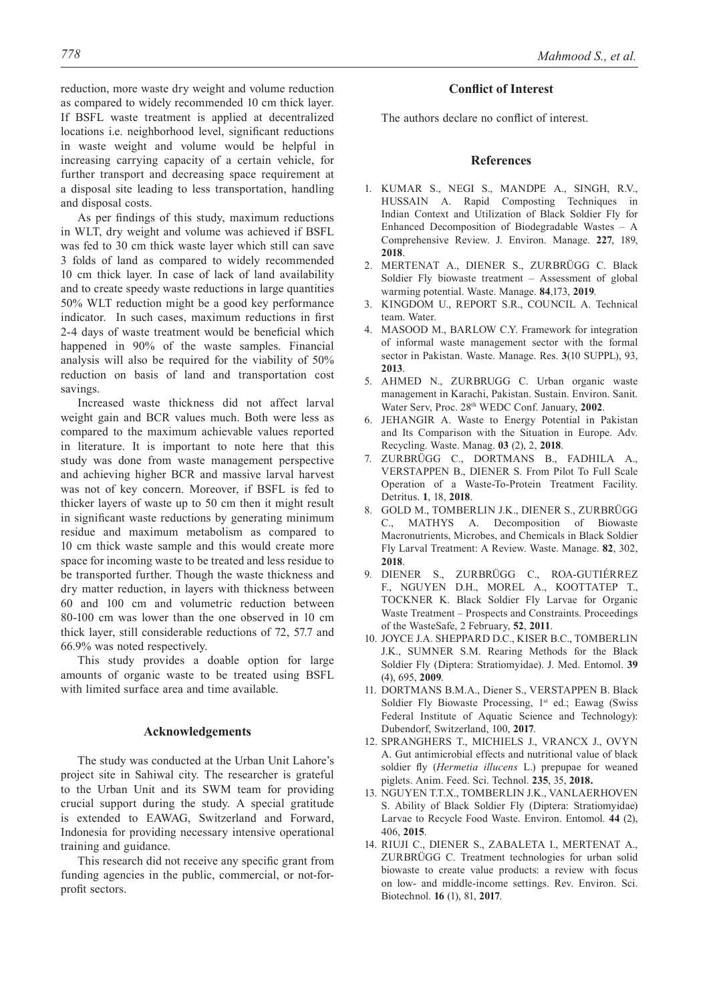as compared to widely recommended 10 cm thick layer. If BSFL waste treatment is applied at decentralized locations i.e. neighborhood level, significant reductions in waste weight and volume would be helpful in increasing carrying capacity of a certain vehicle, for further transport and decreasing space requirement at a disposal site leading to less transportation, handling and disposal costs.

As per findings of this study, maximum reductions in WLT, dry weight and volume was achieved if BSFL was fed to 30 cm thick waste layer which still can save 3 folds of land as compared to widely recommended 10 cm thick layer. In case of lack of land availability and to create speedy waste reductions in large quantities 50% WLT reduction might be a good key performance indicator. In such cases, maximum reductions in first 2-4 days of waste treatment would be beneficial which happened in 90% of the waste samples. Financial analysis will also be required for the viability of 50% reduction on basis of land and transportation cost savings.

Increased waste thickness did not affect larval weight gain and BCR values much. Both were less as compared to the maximum achievable values reported in literature. It is important to note here that this study was done from waste management perspective and achieving higher BCR and massive larval harvest was not of key concern. Moreover, if BSFL is fed to thicker layers of waste up to 50 cm then it might result in significant waste reductions by generating minimum residue and maximum metabolism as compared to 10 cm thick waste sample and this would create more space for incoming waste to be treated and less residue to be transported further. Though the waste thickness and dry matter reduction, in layers with thickness between 60 and 100 cm and volumetric reduction between 80-100 cm was lower than the one observed in 10 cm thick layer, still considerable reductions of 72, 57.7 and 66.9% was noted respectively.

This study provides a doable option for large amounts of organic waste to be treated using BSFL with limited surface area and time available.

## **Acknowledgements**

The study was conducted at the Urban Unit Lahore's project site in Sahiwal city. The researcher is grateful to the Urban Unit and its SWM team for providing crucial support during the study. A special gratitude is extended to EAWAG, Switzerland and Forward, Indonesia for providing necessary intensive operational training and guidance.

This research did not receive any specific grant from funding agencies in the public, commercial, or not-forprofit sectors.

## **Conflict of Interest**

The authors declare no conflict of interest.

## **References**

- 1. KUMAR S., NEGI S., MANDPE A., SINGH, R.V., HUSSAIN A. Rapid Composting Techniques in Indian Context and Utilization of Black Soldier Fly for Enhanced Decomposition of Biodegradable Wastes – A Comprehensive Review. J. Environ. Manage. **227**, 189, **2018**.
- 2. MERTENAT A., DIENER S., ZURBRÜGG C. Black Soldier Fly biowaste treatment – Assessment of global warming potential. Waste. Manage. **84**,173, **2019**.
- 3. KINGDOM U., REPORT S.R., COUNCIL A. Technical team. Water.
- 4. MASOOD M., BARLOW C.Y. Framework for integration of informal waste management sector with the formal sector in Pakistan. Waste. Manage. Res. **3**(10 SUPPL), 93, **2013**.
- 5. AHMED N., ZURBRUGG C. Urban organic waste management in Karachi, Pakistan. Sustain. Environ. Sanit. Water Serv, Proc. 28th WEDC Conf. January, **2002**.
- 6. JEHANGIR A. Waste to Energy Potential in Pakistan and Its Comparison with the Situation in Europe. Adv. Recycling. Waste. Manag. **03** (2), 2, **2018**.
- 7. ZURBRÜGG C., DORTMANS B., FADHILA A., VERSTAPPEN B., DIENER S. From Pilot To Full Scale Operation of a Waste-To-Protein Treatment Facility. Detritus. **1**, 18, **2018**.
- 8. GOLD M., TOMBERLIN J.K., DIENER S., ZURBRÜGG C., MATHYS A. Decomposition of Biowaste Macronutrients, Microbes, and Chemicals in Black Soldier Fly Larval Treatment: A Review. Waste. Manage. **82**, 302, **2018**.
- 9. DIENER S., ZURBRÜGG C., ROA-GUTIÉRREZ F., NGUYEN D.H., MOREL A., KOOTTATEP T., TOCKNER K. Black Soldier Fly Larvae for Organic Waste Treatment – Prospects and Constraints. Proceedings of the WasteSafe, 2 February, **52**, **2011**.
- 10. JOYCE J.A. SHEPPARD D.C., KISER B.C., TOMBERLIN J.K., SUMNER S.M. Rearing Methods for the Black Soldier Fly (Diptera: Stratiomyidae). J. Med. Entomol. **39**  (4), 695, **2009**.
- 11. DORTMANS B.M.A., Diener S., VERSTAPPEN B. Black Soldier Fly Biowaste Processing, 1st ed.; Eawag (Swiss Federal Institute of Aquatic Science and Technology): Dubendorf, Switzerland, 100, **2017**.
- 12. SPRANGHERS T., MICHIELS J., VRANCX J., OVYN A. Gut antimicrobial effects and nutritional value of black soldier fly (*Hermetia illucens* L.) prepupae for weaned piglets. Anim. Feed. Sci. Technol. **235**, 35, **2018.**
- 13. NGUYEN T.T.X., TOMBERLIN J.K., VANLAERHOVEN S. Ability of Black Soldier Fly (Diptera: Stratiomyidae) Larvae to Recycle Food Waste. Environ. Entomol. **44** (2), 406, **2015**.
- 14. RIUJI C., DIENER S., ZABALETA I., MERTENAT A., ZURBRÜGG C. Treatment technologies for urban solid biowaste to create value products: a review with focus on low- and middle-income settings. Rev. Environ. Sci. Biotechnol. **16** (1), 81, **2017**.